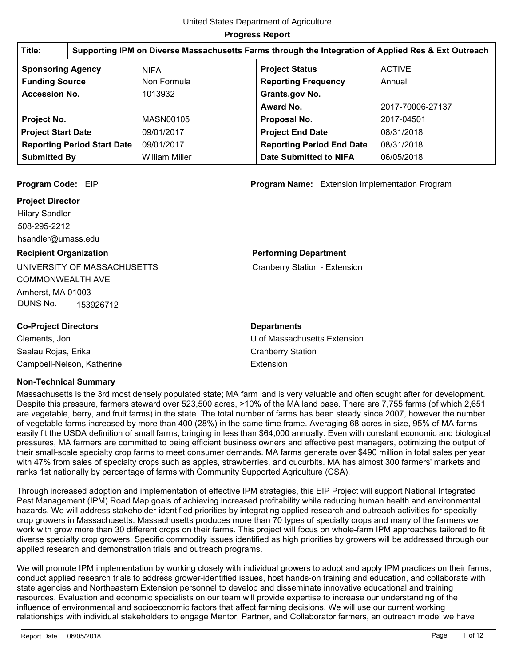| Title:                    | Supporting IPM on Diverse Massachusetts Farms through the Integration of Applied Res & Ext Outreach |                       |                                  |                  |
|---------------------------|-----------------------------------------------------------------------------------------------------|-----------------------|----------------------------------|------------------|
| <b>Sponsoring Agency</b>  |                                                                                                     | <b>NIFA</b>           | <b>Project Status</b>            | <b>ACTIVE</b>    |
| <b>Funding Source</b>     |                                                                                                     | Non Formula           | <b>Reporting Frequency</b>       | Annual           |
| <b>Accession No.</b>      |                                                                                                     | 1013932               | Grants.gov No.                   |                  |
|                           |                                                                                                     |                       | Award No.                        | 2017-70006-27137 |
| Project No.               |                                                                                                     | MASN00105             | Proposal No.                     | 2017-04501       |
| <b>Project Start Date</b> |                                                                                                     | 09/01/2017            | <b>Project End Date</b>          | 08/31/2018       |
|                           | <b>Reporting Period Start Date</b>                                                                  | 09/01/2017            | <b>Reporting Period End Date</b> | 08/31/2018       |
| <b>Submitted By</b>       |                                                                                                     | <b>William Miller</b> | <b>Date Submitted to NIFA</b>    | 06/05/2018       |

#### **Project Director**

508-295-2212 Hilary Sandler hsandler@umass.edu

#### **Recipient Organization**

UNIVERSITY OF MASSACHUSETTS COMMONWEALTH AVE Amherst, MA 01003 DUNS No. 153926712

### **Co-Project Directors**

Clements, Jon Saalau Rojas, Erika Campbell-Nelson, Katherine

### **Non-Technical Summary**

Massachusetts is the 3rd most densely populated state; MA farm land is very valuable and often sought after for development. Despite this pressure, farmers steward over 523,500 acres, >10% of the MA land base. There are 7,755 farms (of which 2,651 are vegetable, berry, and fruit farms) in the state. The total number of farms has been steady since 2007, however the number of vegetable farms increased by more than 400 (28%) in the same time frame. Averaging 68 acres in size, 95% of MA farms easily fit the USDA definition of small farms, bringing in less than \$64,000 annually. Even with constant economic and biological pressures, MA farmers are committed to being efficient business owners and effective pest managers, optimizing the output of their small-scale specialty crop farms to meet consumer demands. MA farms generate over \$490 million in total sales per year with 47% from sales of specialty crops such as apples, strawberries, and cucurbits. MA has almost 300 farmers' markets and ranks 1st nationally by percentage of farms with Community Supported Agriculture (CSA).

Through increased adoption and implementation of effective IPM strategies, this EIP Project will support National Integrated Pest Management (IPM) Road Map goals of achieving increased profitability while reducing human health and environmental hazards. We will address stakeholder-identified priorities by integrating applied research and outreach activities for specialty crop growers in Massachusetts. Massachusetts produces more than 70 types of specialty crops and many of the farmers we work with grow more than 30 different crops on their farms. This project will focus on whole-farm IPM approaches tailored to fit diverse specialty crop growers. Specific commodity issues identified as high priorities by growers will be addressed through our applied research and demonstration trials and outreach programs.

We will promote IPM implementation by working closely with individual growers to adopt and apply IPM practices on their farms, conduct applied research trials to address grower-identified issues, host hands-on training and education, and collaborate with state agencies and Northeastern Extension personnel to develop and disseminate innovative educational and training resources. Evaluation and economic specialists on our team will provide expertise to increase our understanding of the influence of environmental and socioeconomic factors that affect farming decisions. We will use our current working relationships with individual stakeholders to engage Mentor, Partner, and Collaborator farmers, an outreach model we have

**Program Code:** EIP **Program Name:** Extension Implementation Program

#### **Performing Department**

Cranberry Station - Extension

# **Departments**

U of Massachusetts Extension Cranberry Station Extension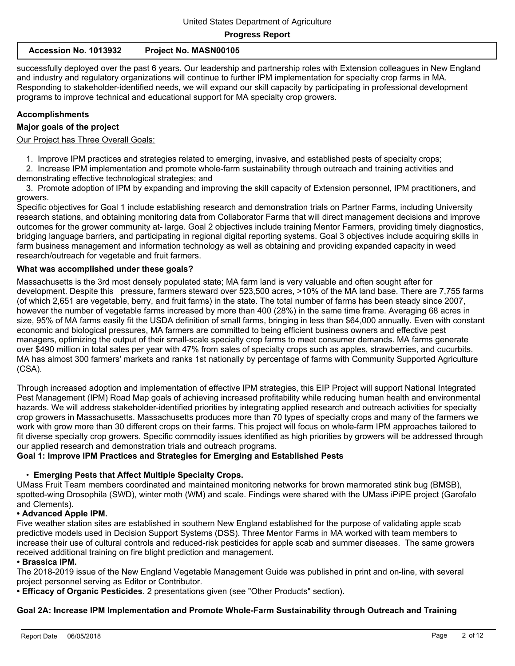| Accession No. 1013932 | <b>Project No. MASN00105</b> |
|-----------------------|------------------------------|
|-----------------------|------------------------------|

successfully deployed over the past 6 years. Our leadership and partnership roles with Extension colleagues in New England and industry and regulatory organizations will continue to further IPM implementation for specialty crop farms in MA. Responding to stakeholder-identified needs, we will expand our skill capacity by participating in professional development programs to improve technical and educational support for MA specialty crop growers.

#### **Accomplishments**

#### **Major goals of the project**

Our Project has Three Overall Goals:

1. Improve IPM practices and strategies related to emerging, invasive, and established pests of specialty crops;

 2. Increase IPM implementation and promote whole-farm sustainability through outreach and training activities and demonstrating effective technological strategies; and

 3. Promote adoption of IPM by expanding and improving the skill capacity of Extension personnel, IPM practitioners, and growers.

Specific objectives for Goal 1 include establishing research and demonstration trials on Partner Farms, including University research stations, and obtaining monitoring data from Collaborator Farms that will direct management decisions and improve outcomes for the grower community at- large. Goal 2 objectives include training Mentor Farmers, providing timely diagnostics, bridging language barriers, and participating in regional digital reporting systems. Goal 3 objectives include acquiring skills in farm business management and information technology as well as obtaining and providing expanded capacity in weed research/outreach for vegetable and fruit farmers.

#### **What was accomplished under these goals?**

Massachusetts is the 3rd most densely populated state; MA farm land is very valuable and often sought after for development. Despite this pressure, farmers steward over 523,500 acres, >10% of the MA land base. There are 7,755 farms (of which 2,651 are vegetable, berry, and fruit farms) in the state. The total number of farms has been steady since 2007, however the number of vegetable farms increased by more than 400 (28%) in the same time frame. Averaging 68 acres in size, 95% of MA farms easily fit the USDA definition of small farms, bringing in less than \$64,000 annually. Even with constant economic and biological pressures, MA farmers are committed to being efficient business owners and effective pest managers, optimizing the output of their small-scale specialty crop farms to meet consumer demands. MA farms generate over \$490 million in total sales per year with 47% from sales of specialty crops such as apples, strawberries, and cucurbits. MA has almost 300 farmers' markets and ranks 1st nationally by percentage of farms with Community Supported Agriculture (CSA).

Through increased adoption and implementation of effective IPM strategies, this EIP Project will support National Integrated Pest Management (IPM) Road Map goals of achieving increased profitability while reducing human health and environmental hazards. We will address stakeholder-identified priorities by integrating applied research and outreach activities for specialty crop growers in Massachusetts. Massachusetts produces more than 70 types of specialty crops and many of the farmers we work with grow more than 30 different crops on their farms. This project will focus on whole-farm IPM approaches tailored to fit diverse specialty crop growers. Specific commodity issues identified as high priorities by growers will be addressed through our applied research and demonstration trials and outreach programs.

#### **Goal 1: Improve IPM Practices and Strategies for Emerging and Established Pests**

#### • **Emerging Pests that Affect Multiple Specialty Crops.**

UMass Fruit Team members coordinated and maintained monitoring networks for brown marmorated stink bug (BMSB), spotted-wing Drosophila (SWD), winter moth (WM) and scale. Findings were shared with the UMass iPiPE project (Garofalo and Clements).

#### **• Advanced Apple IPM.**

Five weather station sites are established in southern New England established for the purpose of validating apple scab predictive models used in Decision Support Systems (DSS). Three Mentor Farms in MA worked with team members to increase their use of cultural controls and reduced-risk pesticides for apple scab and summer diseases. The same growers received additional training on fire blight prediction and management.

#### **• Brassica IPM.**

The 2018-2019 issue of the New England Vegetable Management Guide was published in print and on-line, with several project personnel serving as Editor or Contributor.

**• Efficacy of Organic Pesticides**. 2 presentations given (see "Other Products" section)**.**

#### **Goal 2A: Increase IPM Implementation and Promote Whole-Farm Sustainability through Outreach and Training**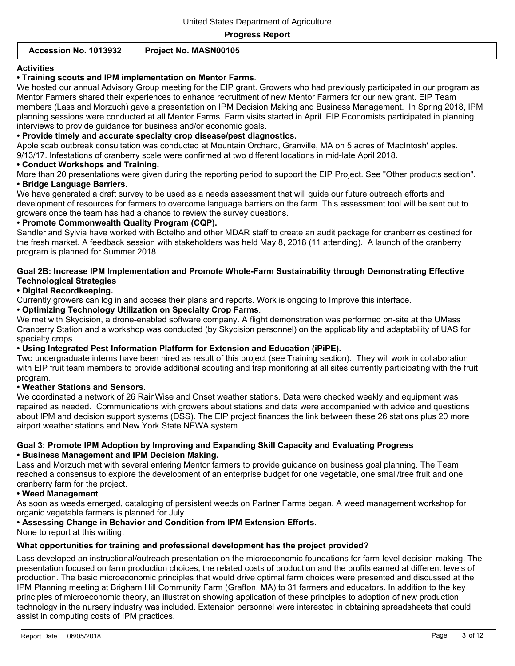#### **Accession No. 1013932 Project No. MASN00105**

#### **Activities**

## **• Training scouts and IPM implementation on Mentor Farms**.

We hosted our annual Advisory Group meeting for the EIP grant. Growers who had previously participated in our program as Mentor Farmers shared their experiences to enhance recruitment of new Mentor Farmers for our new grant. EIP Team members (Lass and Morzuch) gave a presentation on IPM Decision Making and Business Management. In Spring 2018, IPM planning sessions were conducted at all Mentor Farms. Farm visits started in April. EIP Economists participated in planning interviews to provide guidance for business and/or economic goals.

#### **• Provide timely and accurate specialty crop disease/pest diagnostics.**

Apple scab outbreak consultation was conducted at Mountain Orchard, Granville, MA on 5 acres of 'MacIntosh' apples.

9/13/17. Infestations of cranberry scale were confirmed at two different locations in mid-late April 2018.

# **• Conduct Workshops and Training.**

More than 20 presentations were given during the reporting period to support the EIP Project. See "Other products section". **• Bridge Language Barriers.**

We have generated a draft survey to be used as a needs assessment that will guide our future outreach efforts and development of resources for farmers to overcome language barriers on the farm. This assessment tool will be sent out to growers once the team has had a chance to review the survey questions.

#### **• Promote Commonwealth Quality Program (CQP).**

Sandler and Sylvia have worked with Botelho and other MDAR staff to create an audit package for cranberries destined for the fresh market. A feedback session with stakeholders was held May 8, 2018 (11 attending). A launch of the cranberry program is planned for Summer 2018.

#### **Goal 2B: Increase IPM Implementation and Promote Whole-Farm Sustainability through Demonstrating Effective Technological Strategies**

#### **• Digital Recordkeeping.**

Currently growers can log in and access their plans and reports. Work is ongoing to Improve this interface.

#### **• Optimizing Technology Utilization on Specialty Crop Farms**.

We met with Skycision, a drone-enabled software company. A flight demonstration was performed on-site at the UMass Cranberry Station and a workshop was conducted (by Skycision personnel) on the applicability and adaptability of UAS for specialty crops.

#### **• Using Integrated Pest Information Platform for Extension and Education (iPiPE).**

Two undergraduate interns have been hired as result of this project (see Training section). They will work in collaboration with EIP fruit team members to provide additional scouting and trap monitoring at all sites currently participating with the fruit program.

#### **• Weather Stations and Sensors.**

We coordinated a network of 26 RainWise and Onset weather stations. Data were checked weekly and equipment was repaired as needed. Communications with growers about stations and data were accompanied with advice and questions about IPM and decision support systems (DSS). The EIP project finances the link between these 26 stations plus 20 more airport weather stations and New York State NEWA system.

#### **Goal 3: Promote IPM Adoption by Improving and Expanding Skill Capacity and Evaluating Progress • Business Management and IPM Decision Making.**

Lass and Morzuch met with several entering Mentor farmers to provide guidance on business goal planning. The Team reached a consensus to explore the development of an enterprise budget for one vegetable, one small/tree fruit and one cranberry farm for the project.

#### **• Weed Management**.

As soon as weeds emerged, cataloging of persistent weeds on Partner Farms began. A weed management workshop for organic vegetable farmers is planned for July.

#### **• Assessing Change in Behavior and Condition from IPM Extension Efforts.**

None to report at this writing.

#### **What opportunities for training and professional development has the project provided?**

Lass developed an instructional/outreach presentation on the microeconomic foundations for farm-level decision-making. The presentation focused on farm production choices, the related costs of production and the profits earned at different levels of production. The basic microeconomic principles that would drive optimal farm choices were presented and discussed at the IPM Planning meeting at Brigham Hill Community Farm (Grafton, MA) to 31 farmers and educators. In addition to the key principles of microeconomic theory, an illustration showing application of these principles to adoption of new production technology in the nursery industry was included. Extension personnel were interested in obtaining spreadsheets that could assist in computing costs of IPM practices.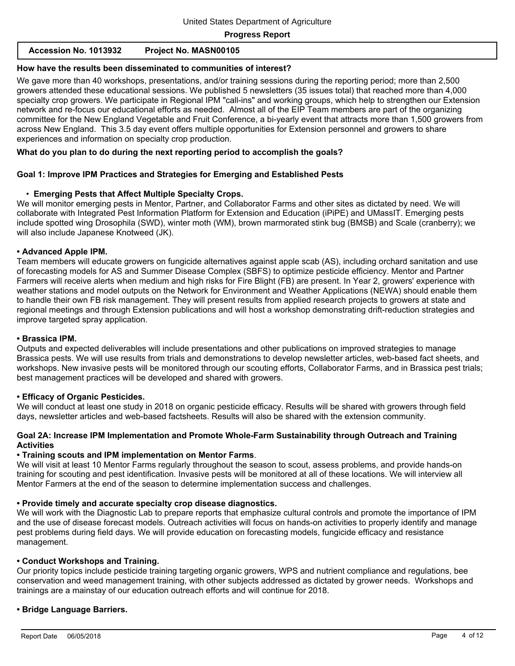# **How have the results been disseminated to communities of interest?**

We gave more than 40 workshops, presentations, and/or training sessions during the reporting period; more than 2,500 growers attended these educational sessions. We published 5 newsletters (35 issues total) that reached more than 4,000 specialty crop growers. We participate in Regional IPM "call-ins" and working groups, which help to strengthen our Extension network and re-focus our educational efforts as needed. Almost all of the EIP Team members are part of the organizing committee for the New England Vegetable and Fruit Conference, a bi-yearly event that attracts more than 1,500 growers from across New England. This 3.5 day event offers multiple opportunities for Extension personnel and growers to share experiences and information on specialty crop production.

# **What do you plan to do during the next reporting period to accomplish the goals?**

# **Goal 1: Improve IPM Practices and Strategies for Emerging and Established Pests**

# • **Emerging Pests that Affect Multiple Specialty Crops.**

We will monitor emerging pests in Mentor, Partner, and Collaborator Farms and other sites as dictated by need. We will collaborate with Integrated Pest Information Platform for Extension and Education (iPiPE) and UMassIT. Emerging pests include spotted wing Drosophila (SWD), winter moth (WM), brown marmorated stink bug (BMSB) and Scale (cranberry); we will also include Japanese Knotweed (JK).

# **• Advanced Apple IPM.**

Team members will educate growers on fungicide alternatives against apple scab (AS), including orchard sanitation and use of forecasting models for AS and Summer Disease Complex (SBFS) to optimize pesticide efficiency. Mentor and Partner Farmers will receive alerts when medium and high risks for Fire Blight (FB) are present. In Year 2, growers' experience with weather stations and model outputs on the Network for Environment and Weather Applications (NEWA) should enable them to handle their own FB risk management. They will present results from applied research projects to growers at state and regional meetings and through Extension publications and will host a workshop demonstrating drift-reduction strategies and improve targeted spray application.

# **• Brassica IPM.**

Outputs and expected deliverables will include presentations and other publications on improved strategies to manage Brassica pests. We will use results from trials and demonstrations to develop newsletter articles, web-based fact sheets, and workshops. New invasive pests will be monitored through our scouting efforts, Collaborator Farms, and in Brassica pest trials; best management practices will be developed and shared with growers.

# **• Efficacy of Organic Pesticides.**

We will conduct at least one study in 2018 on organic pesticide efficacy. Results will be shared with growers through field days, newsletter articles and web-based factsheets. Results will also be shared with the extension community.

# **Goal 2A: Increase IPM Implementation and Promote Whole-Farm Sustainability through Outreach and Training Activities**

# **• Training scouts and IPM implementation on Mentor Farms**.

We will visit at least 10 Mentor Farms regularly throughout the season to scout, assess problems, and provide hands-on training for scouting and pest identification. Invasive pests will be monitored at all of these locations. We will interview all Mentor Farmers at the end of the season to determine implementation success and challenges.

# **• Provide timely and accurate specialty crop disease diagnostics.**

We will work with the Diagnostic Lab to prepare reports that emphasize cultural controls and promote the importance of IPM and the use of disease forecast models. Outreach activities will focus on hands-on activities to properly identify and manage pest problems during field days. We will provide education on forecasting models, fungicide efficacy and resistance management.

# **• Conduct Workshops and Training.**

Our priority topics include pesticide training targeting organic growers, WPS and nutrient compliance and regulations, bee conservation and weed management training, with other subjects addressed as dictated by grower needs. Workshops and trainings are a mainstay of our education outreach efforts and will continue for 2018.

# **• Bridge Language Barriers.**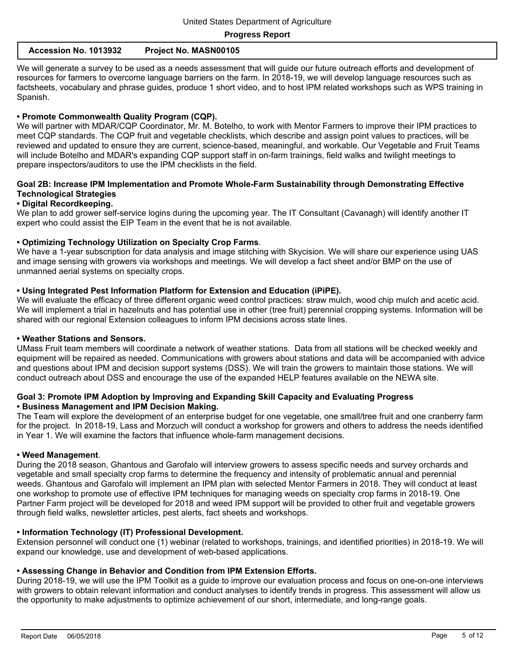| Accession No. 1013932 | Project No. MASN00105 |
|-----------------------|-----------------------|
|-----------------------|-----------------------|

We will generate a survey to be used as a needs assessment that will guide our future outreach efforts and development of resources for farmers to overcome language barriers on the farm. In 2018-19, we will develop language resources such as factsheets, vocabulary and phrase guides, produce 1 short video, and to host IPM related workshops such as WPS training in Spanish.

#### **• Promote Commonwealth Quality Program (CQP).**

We will partner with MDAR/CQP Coordinator, Mr. M. Botelho, to work with Mentor Farmers to improve their IPM practices to meet CQP standards. The CQP fruit and vegetable checklists, which describe and assign point values to practices, will be reviewed and updated to ensure they are current, science-based, meaningful, and workable. Our Vegetable and Fruit Teams will include Botelho and MDAR's expanding CQP support staff in on-farm trainings, field walks and twilight meetings to prepare inspectors/auditors to use the IPM checklists in the field.

#### **Goal 2B: Increase IPM Implementation and Promote Whole-Farm Sustainability through Demonstrating Effective Technological Strategies**

#### **• Digital Recordkeeping.**

We plan to add grower self-service logins during the upcoming year. The IT Consultant (Cavanagh) will identify another IT expert who could assist the EIP Team in the event that he is not available.

#### **• Optimizing Technology Utilization on Specialty Crop Farms**.

We have a 1-year subscription for data analysis and image stitching with Skycision. We will share our experience using UAS and image sensing with growers via workshops and meetings. We will develop a fact sheet and/or BMP on the use of unmanned aerial systems on specialty crops.

#### **• Using Integrated Pest Information Platform for Extension and Education (iPiPE).**

We will evaluate the efficacy of three different organic weed control practices: straw mulch, wood chip mulch and acetic acid. We will implement a trial in hazelnuts and has potential use in other (tree fruit) perennial cropping systems. Information will be shared with our regional Extension colleagues to inform IPM decisions across state lines.

#### **• Weather Stations and Sensors.**

UMass Fruit team members will coordinate a network of weather stations. Data from all stations will be checked weekly and equipment will be repaired as needed. Communications with growers about stations and data will be accompanied with advice and questions about IPM and decision support systems (DSS). We will train the growers to maintain those stations. We will conduct outreach about DSS and encourage the use of the expanded HELP features available on the NEWA site.

#### **Goal 3: Promote IPM Adoption by Improving and Expanding Skill Capacity and Evaluating Progress • Business Management and IPM Decision Making.**

The Team will explore the development of an enterprise budget for one vegetable, one small/tree fruit and one cranberry farm for the project. In 2018-19, Lass and Morzuch will conduct a workshop for growers and others to address the needs identified in Year 1. We will examine the factors that influence whole-farm management decisions.

#### **• Weed Management**.

During the 2018 season, Ghantous and Garofalo will interview growers to assess specific needs and survey orchards and vegetable and small specialty crop farms to determine the frequency and intensity of problematic annual and perennial weeds. Ghantous and Garofalo will implement an IPM plan with selected Mentor Farmers in 2018. They will conduct at least one workshop to promote use of effective IPM techniques for managing weeds on specialty crop farms in 2018-19. One Partner Farm project will be developed for 2018 and weed IPM support will be provided to other fruit and vegetable growers through field walks, newsletter articles, pest alerts, fact sheets and workshops.

#### **• Information Technology (IT) Professional Development.**

Extension personnel will conduct one (1) webinar (related to workshops, trainings, and identified priorities) in 2018-19. We will expand our knowledge, use and development of web-based applications.

#### **• Assessing Change in Behavior and Condition from IPM Extension Efforts.**

During 2018-19, we will use the IPM Toolkit as a guide to improve our evaluation process and focus on one-on-one interviews with growers to obtain relevant information and conduct analyses to identify trends in progress. This assessment will allow us the opportunity to make adjustments to optimize achievement of our short, intermediate, and long-range goals.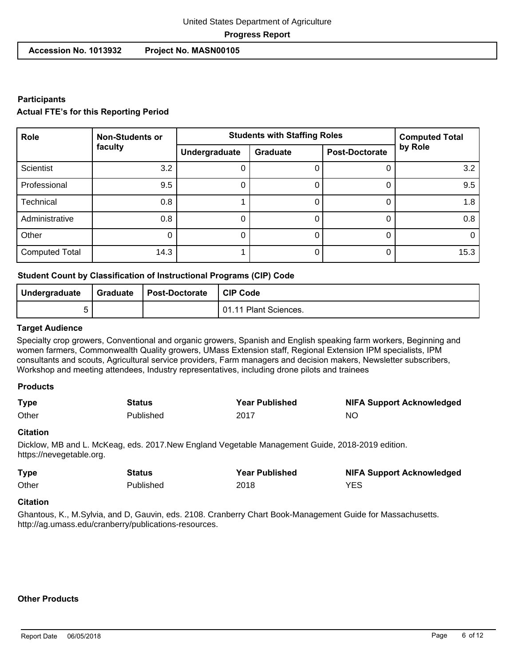# United States Department of Agriculture **Progress Report**

 **Accession No. 1013932 Project No. MASN00105**

## **Participants**

#### **Actual FTE's for this Reporting Period**

| Role                  | <b>Non-Students or</b> | <b>Students with Staffing Roles</b> | <b>Computed Total</b> |                       |         |
|-----------------------|------------------------|-------------------------------------|-----------------------|-----------------------|---------|
|                       | faculty                | Undergraduate                       | Graduate              | <b>Post-Doctorate</b> | by Role |
| <b>Scientist</b>      | 3.2                    | U                                   |                       | O                     | 3.2     |
| Professional          | 9.5                    | O                                   |                       | 0                     | 9.5     |
| Technical             | 0.8                    |                                     |                       | 0                     | 1.8     |
| Administrative        | 0.8                    | 0                                   |                       | 0                     | 0.8     |
| Other                 |                        | 0                                   |                       | 0                     | 0       |
| <b>Computed Total</b> | 14.3                   |                                     |                       | 0                     | 15.3    |

#### **Student Count by Classification of Instructional Programs (CIP) Code**

| Undergraduate | Graduate | Post-Doctorate | CIP Code              |
|---------------|----------|----------------|-----------------------|
|               |          |                | 01.11 Plant Sciences. |

#### **Target Audience**

Specialty crop growers, Conventional and organic growers, Spanish and English speaking farm workers, Beginning and women farmers, Commonwealth Quality growers, UMass Extension staff, Regional Extension IPM specialists, IPM consultants and scouts, Agricultural service providers, Farm managers and decision makers, Newsletter subscribers, Workshop and meeting attendees, Industry representatives, including drone pilots and trainees

#### **Products**

| <b>Type</b> | Status    | <b>Year Published</b> | <b>NIFA Support Acknowledged</b> |
|-------------|-----------|-----------------------|----------------------------------|
| Other       | Published | 2017                  | ΝC                               |

#### **Citation**

Dicklow, MB and L. McKeag, eds. 2017.New England Vegetable Management Guide, 2018-2019 edition. https://nevegetable.org.

| <b>Type</b> | Status    | <b>Year Published</b> | <b>NIFA Support Acknowledged</b> |
|-------------|-----------|-----------------------|----------------------------------|
| Other       | Published | 2018                  | <b>YES</b>                       |

#### **Citation**

Ghantous, K., M.Sylvia, and D, Gauvin, eds. 2108. Cranberry Chart Book-Management Guide for Massachusetts. http://ag.umass.edu/cranberry/publications-resources.

#### **Other Products**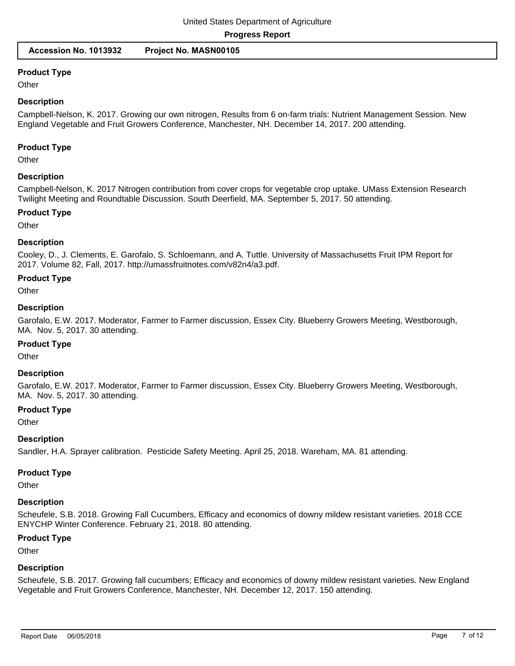#### **Product Type**

**Other** 

#### **Description**

Campbell-Nelson, K. 2017. Growing our own nitrogen, Results from 6 on-farm trials: Nutrient Management Session. New England Vegetable and Fruit Growers Conference, Manchester, NH. December 14, 2017. 200 attending.

#### **Product Type**

**Other** 

#### **Description**

Campbell-Nelson, K. 2017 Nitrogen contribution from cover crops for vegetable crop uptake. UMass Extension Research Twilight Meeting and Roundtable Discussion. South Deerfield, MA. September 5, 2017. 50 attending.

#### **Product Type**

**Other** 

#### **Description**

Cooley, D., J. Clements, E. Garofalo, S. Schloemann, and A. Tuttle. University of Massachusetts Fruit IPM Report for 2017. Volume 82, Fall, 2017. http://umassfruitnotes.com/v82n4/a3.pdf.

#### **Product Type**

**Other** 

#### **Description**

Garofalo, E.W. 2017. Moderator, Farmer to Farmer discussion, Essex City. Blueberry Growers Meeting, Westborough, MA. Nov. 5, 2017. 30 attending.

#### **Product Type**

**Other** 

#### **Description**

Garofalo, E.W. 2017. Moderator, Farmer to Farmer discussion, Essex City. Blueberry Growers Meeting, Westborough, MA. Nov. 5, 2017. 30 attending.

#### **Product Type**

**Other** 

#### **Description**

Sandler, H.A. Sprayer calibration. Pesticide Safety Meeting. April 25, 2018. Wareham, MA. 81 attending.

#### **Product Type**

**Other** 

#### **Description**

Scheufele, S.B. 2018. Growing Fall Cucumbers, Efficacy and economics of downy mildew resistant varieties. 2018 CCE ENYCHP Winter Conference. February 21, 2018. 80 attending.

#### **Product Type**

**Other** 

#### **Description**

Scheufele, S.B. 2017. Growing fall cucumbers; Efficacy and economics of downy mildew resistant varieties. New England Vegetable and Fruit Growers Conference, Manchester, NH. December 12, 2017. 150 attending.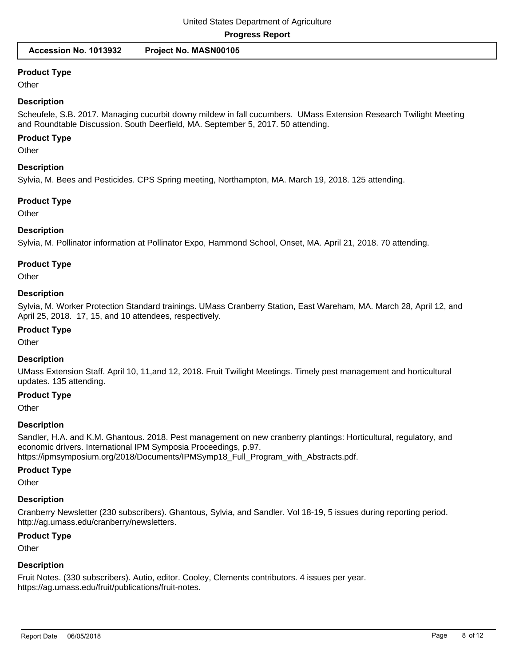#### **Product Type**

**Other** 

#### **Description**

Scheufele, S.B. 2017. Managing cucurbit downy mildew in fall cucumbers. UMass Extension Research Twilight Meeting and Roundtable Discussion. South Deerfield, MA. September 5, 2017. 50 attending.

#### **Product Type**

**Other** 

#### **Description**

Sylvia, M. Bees and Pesticides. CPS Spring meeting, Northampton, MA. March 19, 2018. 125 attending.

#### **Product Type**

**Other** 

#### **Description**

Sylvia, M. Pollinator information at Pollinator Expo, Hammond School, Onset, MA. April 21, 2018. 70 attending.

#### **Product Type**

**Other** 

#### **Description**

Sylvia, M. Worker Protection Standard trainings. UMass Cranberry Station, East Wareham, MA. March 28, April 12, and April 25, 2018. 17, 15, and 10 attendees, respectively.

#### **Product Type**

**Other** 

### **Description**

UMass Extension Staff. April 10, 11,and 12, 2018. Fruit Twilight Meetings. Timely pest management and horticultural updates. 135 attending.

#### **Product Type**

**Other** 

#### **Description**

Sandler, H.A. and K.M. Ghantous. 2018. Pest management on new cranberry plantings: Horticultural, regulatory, and economic drivers. International IPM Symposia Proceedings, p.97. https://ipmsymposium.org/2018/Documents/IPMSymp18\_Full\_Program\_with\_Abstracts.pdf.

# **Product Type**

**Other** 

# **Description**

Cranberry Newsletter (230 subscribers). Ghantous, Sylvia, and Sandler. Vol 18-19, 5 issues during reporting period. http://ag.umass.edu/cranberry/newsletters.

# **Product Type**

**Other** 

# **Description**

Fruit Notes. (330 subscribers). Autio, editor. Cooley, Clements contributors. 4 issues per year. https://ag.umass.edu/fruit/publications/fruit-notes.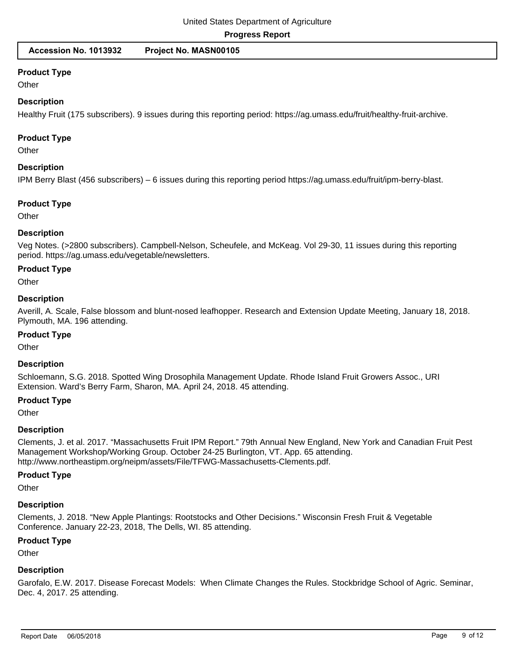# **Product Type**

**Other** 

#### **Description**

Healthy Fruit (175 subscribers). 9 issues during this reporting period: https://ag.umass.edu/fruit/healthy-fruit-archive.

#### **Product Type**

**Other** 

#### **Description**

IPM Berry Blast (456 subscribers) – 6 issues during this reporting period https://ag.umass.edu/fruit/ipm-berry-blast.

#### **Product Type**

**Other** 

#### **Description**

Veg Notes. (>2800 subscribers). Campbell-Nelson, Scheufele, and McKeag. Vol 29-30, 11 issues during this reporting period. https://ag.umass.edu/vegetable/newsletters.

#### **Product Type**

**Other** 

#### **Description**

Averill, A. Scale, False blossom and blunt-nosed leafhopper. Research and Extension Update Meeting, January 18, 2018. Plymouth, MA. 196 attending.

#### **Product Type**

**Other** 

#### **Description**

Schloemann, S.G. 2018. Spotted Wing Drosophila Management Update. Rhode Island Fruit Growers Assoc., URI Extension. Ward's Berry Farm, Sharon, MA. April 24, 2018. 45 attending.

# **Product Type**

**Other** 

#### **Description**

Clements, J. et al. 2017. "Massachusetts Fruit IPM Report." 79th Annual New England, New York and Canadian Fruit Pest Management Workshop/Working Group. October 24-25 Burlington, VT. App. 65 attending. http://www.northeastipm.org/neipm/assets/File/TFWG-Massachusetts-Clements.pdf.

#### **Product Type**

**Other** 

# **Description**

Clements, J. 2018. "New Apple Plantings: Rootstocks and Other Decisions." Wisconsin Fresh Fruit & Vegetable Conference. January 22-23, 2018, The Dells, WI. 85 attending.

# **Product Type**

**Other** 

# **Description**

Garofalo, E.W. 2017. Disease Forecast Models: When Climate Changes the Rules. Stockbridge School of Agric. Seminar, Dec. 4, 2017. 25 attending.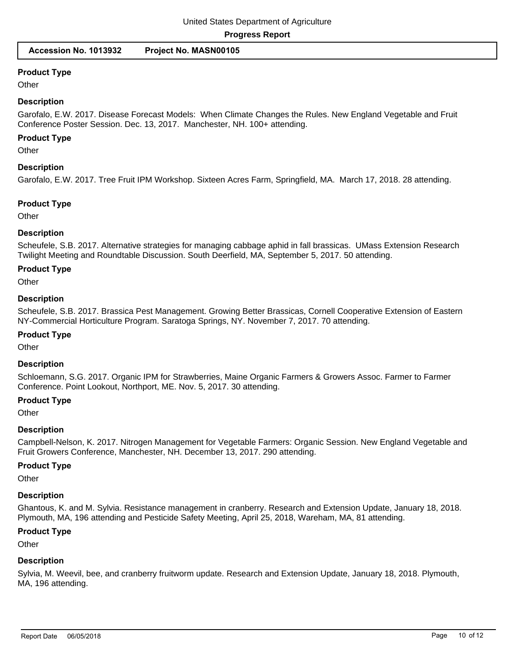#### **Product Type**

**Other** 

#### **Description**

Garofalo, E.W. 2017. Disease Forecast Models: When Climate Changes the Rules. New England Vegetable and Fruit Conference Poster Session. Dec. 13, 2017. Manchester, NH. 100+ attending.

#### **Product Type**

**Other** 

#### **Description**

Garofalo, E.W. 2017. Tree Fruit IPM Workshop. Sixteen Acres Farm, Springfield, MA. March 17, 2018. 28 attending.

#### **Product Type**

**Other** 

#### **Description**

Scheufele, S.B. 2017. Alternative strategies for managing cabbage aphid in fall brassicas. UMass Extension Research Twilight Meeting and Roundtable Discussion. South Deerfield, MA, September 5, 2017. 50 attending.

#### **Product Type**

**Other** 

#### **Description**

Scheufele, S.B. 2017. Brassica Pest Management. Growing Better Brassicas, Cornell Cooperative Extension of Eastern NY-Commercial Horticulture Program. Saratoga Springs, NY. November 7, 2017. 70 attending.

#### **Product Type**

**Other** 

#### **Description**

Schloemann, S.G. 2017. Organic IPM for Strawberries, Maine Organic Farmers & Growers Assoc. Farmer to Farmer Conference. Point Lookout, Northport, ME. Nov. 5, 2017. 30 attending.

### **Product Type**

**Other** 

#### **Description**

Campbell-Nelson, K. 2017. Nitrogen Management for Vegetable Farmers: Organic Session. New England Vegetable and Fruit Growers Conference, Manchester, NH. December 13, 2017. 290 attending.

#### **Product Type**

**Other** 

#### **Description**

Ghantous, K. and M. Sylvia. Resistance management in cranberry. Research and Extension Update, January 18, 2018. Plymouth, MA, 196 attending and Pesticide Safety Meeting, April 25, 2018, Wareham, MA, 81 attending.

#### **Product Type**

**Other** 

#### **Description**

Sylvia, M. Weevil, bee, and cranberry fruitworm update. Research and Extension Update, January 18, 2018. Plymouth, MA, 196 attending.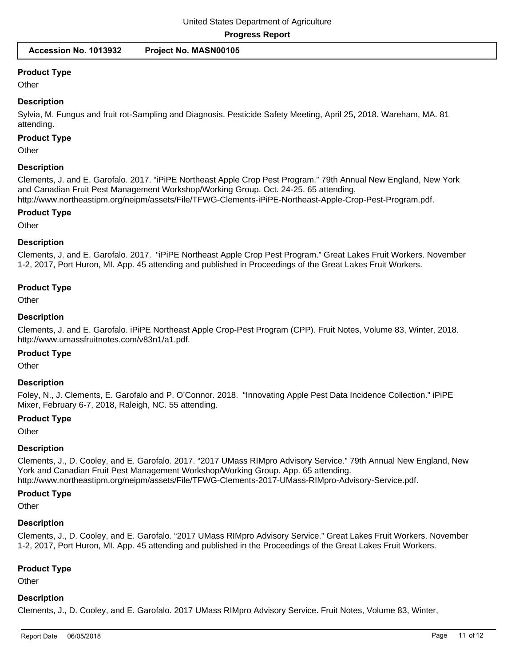#### **Product Type**

**Other** 

#### **Description**

Sylvia, M. Fungus and fruit rot-Sampling and Diagnosis. Pesticide Safety Meeting, April 25, 2018. Wareham, MA. 81 attending.

#### **Product Type**

**Other** 

#### **Description**

Clements, J. and E. Garofalo. 2017. "iPiPE Northeast Apple Crop Pest Program." 79th Annual New England, New York and Canadian Fruit Pest Management Workshop/Working Group. Oct. 24-25. 65 attending. http://www.northeastipm.org/neipm/assets/File/TFWG-Clements-iPiPE-Northeast-Apple-Crop-Pest-Program.pdf.

#### **Product Type**

**Other** 

#### **Description**

Clements, J. and E. Garofalo. 2017. "iPiPE Northeast Apple Crop Pest Program." Great Lakes Fruit Workers. November 1-2, 2017, Port Huron, MI. App. 45 attending and published in Proceedings of the Great Lakes Fruit Workers.

#### **Product Type**

**Other** 

#### **Description**

Clements, J. and E. Garofalo. iPiPE Northeast Apple Crop-Pest Program (CPP). Fruit Notes, Volume 83, Winter, 2018. http://www.umassfruitnotes.com/v83n1/a1.pdf.

#### **Product Type**

**Other** 

#### **Description**

Foley, N., J. Clements, E. Garofalo and P. O'Connor. 2018. "Innovating Apple Pest Data Incidence Collection." iPiPE Mixer, February 6-7, 2018, Raleigh, NC. 55 attending.

#### **Product Type**

**Other** 

#### **Description**

Clements, J., D. Cooley, and E. Garofalo. 2017. "2017 UMass RIMpro Advisory Service." 79th Annual New England, New York and Canadian Fruit Pest Management Workshop/Working Group. App. 65 attending. http://www.northeastipm.org/neipm/assets/File/TFWG-Clements-2017-UMass-RIMpro-Advisory-Service.pdf.

#### **Product Type**

**Other** 

#### **Description**

Clements, J., D. Cooley, and E. Garofalo. "2017 UMass RIMpro Advisory Service." Great Lakes Fruit Workers. November 1-2, 2017, Port Huron, MI. App. 45 attending and published in the Proceedings of the Great Lakes Fruit Workers.

#### **Product Type**

**Other** 

### **Description**

Clements, J., D. Cooley, and E. Garofalo. 2017 UMass RIMpro Advisory Service. Fruit Notes, Volume 83, Winter,